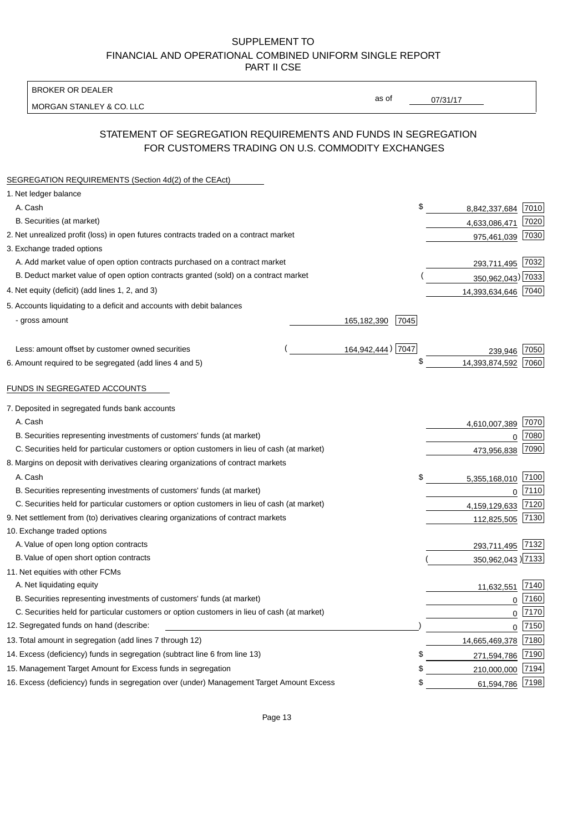BROKER OR DEALER

MORGAN STANLEY & CO. LLC

07/31/17

as of

# STATEMENT OF SEGREGATION REQUIREMENTS AND FUNDS IN SEGREGATION FOR CUSTOMERS TRADING ON U.S. COMMODITY EXCHANGES

| SEGREGATION REQUIREMENTS (Section 4d(2) of the CEAct)                                       |                     |                     |          |
|---------------------------------------------------------------------------------------------|---------------------|---------------------|----------|
| 1. Net ledger balance                                                                       |                     |                     |          |
| A. Cash                                                                                     | \$                  | 8,842,337,684       | 7010     |
| B. Securities (at market)                                                                   |                     | 4,633,086,471       | 7020     |
| 2. Net unrealized profit (loss) in open futures contracts traded on a contract market       |                     | 975,461,039         | 7030     |
| 3. Exchange traded options                                                                  |                     |                     |          |
| A. Add market value of open option contracts purchased on a contract market                 |                     | 293,711,495 7032    |          |
| B. Deduct market value of open option contracts granted (sold) on a contract market         |                     | 350,962,043) 7033   |          |
| 4. Net equity (deficit) (add lines 1, 2, and 3)                                             |                     | 14,393,634,646 7040 |          |
| 5. Accounts liquidating to a deficit and accounts with debit balances                       |                     |                     |          |
| - gross amount                                                                              | 165,182,390<br>7045 |                     |          |
|                                                                                             |                     |                     |          |
| Less: amount offset by customer owned securities                                            | 164,942,444) 7047   | 239,946             | 7050     |
| 6. Amount required to be segregated (add lines 4 and 5)                                     | \$                  | 14,393,874,592      | 7060     |
|                                                                                             |                     |                     |          |
| FUNDS IN SEGREGATED ACCOUNTS                                                                |                     |                     |          |
| 7. Deposited in segregated funds bank accounts                                              |                     |                     |          |
| A. Cash                                                                                     |                     | 4,610,007,389       | 7070     |
| B. Securities representing investments of customers' funds (at market)                      |                     | 0                   | 7080     |
| C. Securities held for particular customers or option customers in lieu of cash (at market) |                     | 473,956,838         | 7090     |
| 8. Margins on deposit with derivatives clearing organizations of contract markets           |                     |                     |          |
| A. Cash                                                                                     | \$                  | 5,355,168,010       | 7100     |
| B. Securities representing investments of customers' funds (at market)                      |                     | 0                   | 7110     |
| C. Securities held for particular customers or option customers in lieu of cash (at market) |                     | 4,159,129,633       | 7120     |
| 9. Net settlement from (to) derivatives clearing organizations of contract markets          |                     | 112,825,505         | 7130     |
| 10. Exchange traded options                                                                 |                     |                     |          |
| A. Value of open long option contracts                                                      |                     | 293,711,495 7132    |          |
| B. Value of open short option contracts                                                     |                     | 350,962,043 )7133   |          |
| 11. Net equities with other FCMs                                                            |                     |                     |          |
| A. Net liquidating equity                                                                   |                     | 11,632,551          | 7140     |
| B. Securities representing investments of customers' funds (at market)                      |                     | $\mathbf 0$         | 7160     |
| C. Securities held for particular customers or option customers in lieu of cash (at market) |                     | $\mathbf 0$         | 7170     |
| 12. Segregated funds on hand (describe:                                                     |                     |                     | $0$ 7150 |
| 13. Total amount in segregation (add lines 7 through 12)                                    |                     | 14,665,469,378 7180 |          |
| 14. Excess (deficiency) funds in segregation (subtract line 6 from line 13)                 | \$                  | 271,594,786         | 7190     |
| 15. Management Target Amount for Excess funds in segregation                                | \$                  | 210,000,000         | 7194     |
| 16. Excess (deficiency) funds in segregation over (under) Management Target Amount Excess   | \$                  | 61,594,786          | 7198     |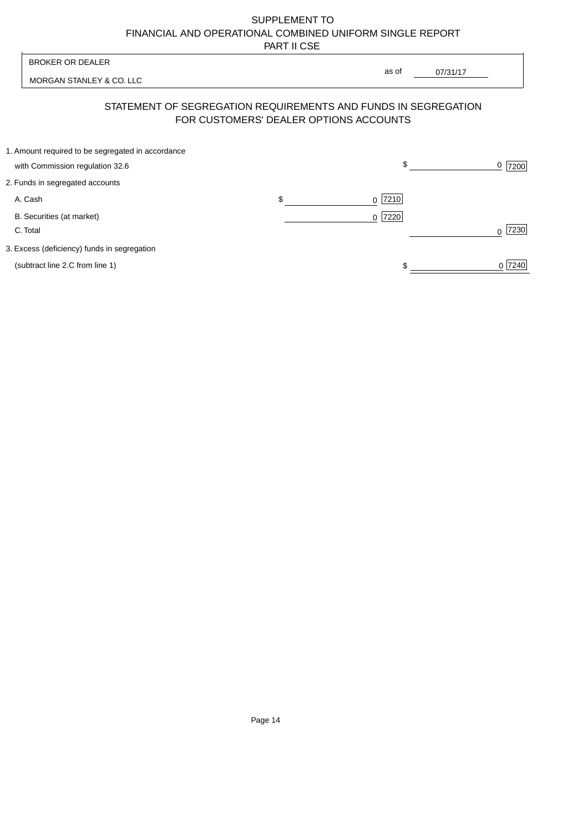MORGAN STANLEY & CO. LLC

07/31/17  $\overline{\phantom{a}}$ 

as of

# STATEMENT OF SEGREGATION REQUIREMENTS AND FUNDS IN SEGREGATION FOR CUSTOMERS' DEALER OPTIONS ACCOUNTS

| 1. Amount required to be segregated in accordance |           |        |
|---------------------------------------------------|-----------|--------|
| with Commission regulation 32.6                   | \$        | 7200   |
| 2. Funds in segregated accounts                   |           |        |
| A. Cash                                           | $0$  7210 |        |
| B. Securities (at market)                         | $0$  7220 |        |
| C. Total                                          |           | 7230   |
| 3. Excess (deficiency) funds in segregation       |           |        |
| (subtract line 2.C from line 1)                   |           | 0 7240 |
|                                                   |           |        |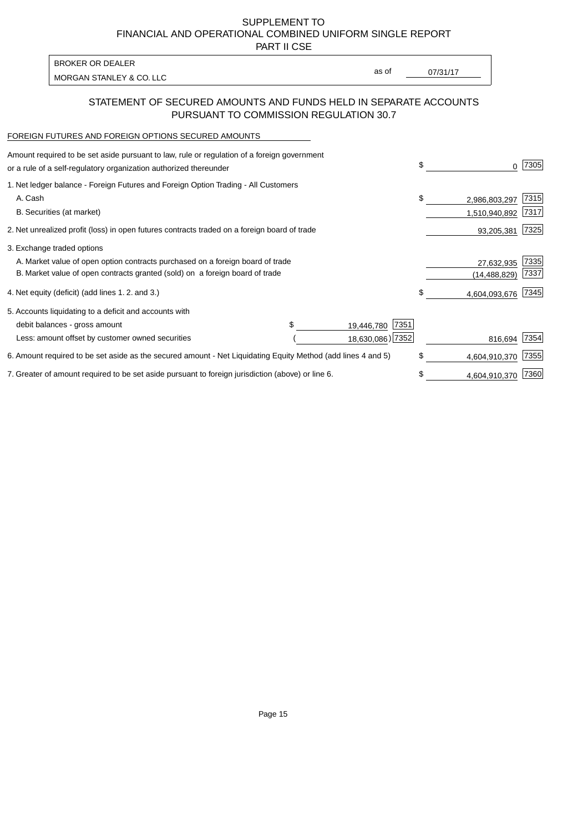PART II CSE

MORGAN STANLEY & CO. LLC and the contract of the contract of the contract of the contract of the contract of the contract of the contract of the contract of the contract of the contract of the contract of the contract of t BROKER OR DEALER

as of

### STATEMENT OF SECURED AMOUNTS AND FUNDS HELD IN SEPARATE ACCOUNTS PURSUANT TO COMMISSION REGULATION 30.7

#### FOREIGN FUTURES AND FOREIGN OPTIONS SECURED AMOUNTS

| Amount required to be set aside pursuant to law, rule or regulation of a foreign government<br>or a rule of a self-regulatory organization authorized thereunder |                    | \$                  | 7305 |
|------------------------------------------------------------------------------------------------------------------------------------------------------------------|--------------------|---------------------|------|
| 1. Net ledger balance - Foreign Futures and Foreign Option Trading - All Customers                                                                               |                    |                     |      |
| A. Cash                                                                                                                                                          |                    | \$<br>2,986,803,297 | 7315 |
| B. Securities (at market)                                                                                                                                        |                    | 1,510,940,892       | 7317 |
| 2. Net unrealized profit (loss) in open futures contracts traded on a foreign board of trade                                                                     |                    | 93,205,381          | 7325 |
| 3. Exchange traded options                                                                                                                                       |                    |                     |      |
| A. Market value of open option contracts purchased on a foreign board of trade                                                                                   |                    | 27,632,935          | 7335 |
| B. Market value of open contracts granted (sold) on a foreign board of trade                                                                                     |                    | (14, 488, 829)      | 7337 |
| 4. Net equity (deficit) (add lines 1.2. and 3.)                                                                                                                  |                    | \$<br>4,604,093,676 | 7345 |
| 5. Accounts liquidating to a deficit and accounts with                                                                                                           |                    |                     |      |
| debit balances - gross amount                                                                                                                                    | 7351<br>19,446,780 |                     |      |
| Less: amount offset by customer owned securities                                                                                                                 | 18,630,086) 7352   | 816,694             | 7354 |
| 6. Amount required to be set aside as the secured amount - Net Liquidating Equity Method (add lines 4 and 5)                                                     |                    | \$<br>4,604,910,370 | 7355 |
| 7. Greater of amount required to be set aside pursuant to foreign jurisdiction (above) or line 6.                                                                |                    | \$<br>4,604,910,370 | 7360 |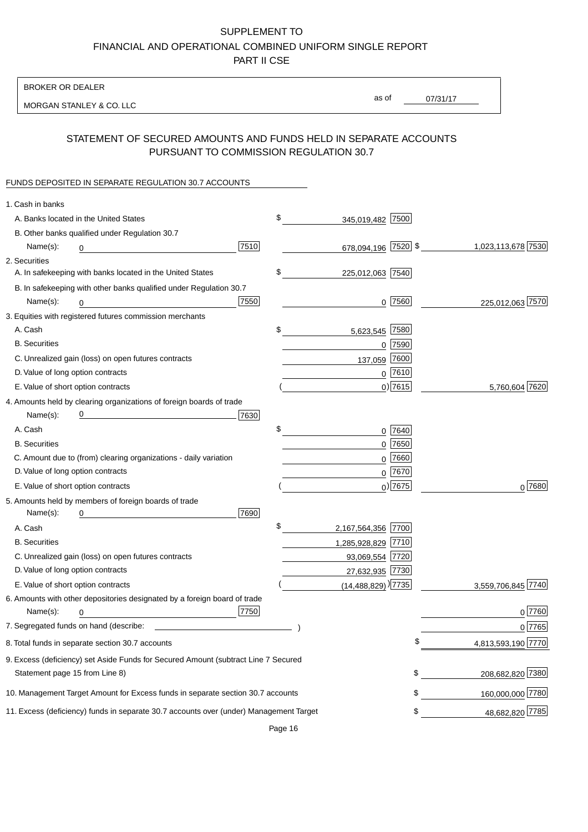BROKER OR DEALER

MORGAN STANLEY & CO. LLC

07/31/17 as of

# STATEMENT OF SECURED AMOUNTS AND FUNDS HELD IN SEPARATE ACCOUNTS PURSUANT TO COMMISSION REGULATION 30.7

# FUNDS DEPOSITED IN SEPARATE REGULATION 30.7 ACCOUNTS

| 1. Cash in banks                   |                                                                                        |      |                                      |             |                    |
|------------------------------------|----------------------------------------------------------------------------------------|------|--------------------------------------|-------------|--------------------|
|                                    | A. Banks located in the United States                                                  |      | \$<br>345,019,482 7500               |             |                    |
|                                    | B. Other banks qualified under Regulation 30.7                                         |      |                                      |             |                    |
| Name(s):                           | 0                                                                                      | 7510 | 678,094,196 7520 \$                  |             | 1,023,113,678 7530 |
| 2. Securities                      |                                                                                        |      |                                      |             |                    |
|                                    | A. In safekeeping with banks located in the United States                              |      | \$<br>225,012,063 7540               |             |                    |
|                                    | B. In safekeeping with other banks qualified under Regulation 30.7                     |      |                                      |             |                    |
| Name(s):                           | 0                                                                                      | 7550 |                                      | $0$  7560   | 225,012,063 7570   |
|                                    | 3. Equities with registered futures commission merchants                               |      |                                      |             |                    |
| A. Cash                            |                                                                                        |      | \$<br>5,623,545 7580                 |             |                    |
| <b>B.</b> Securities               |                                                                                        |      |                                      | $0$ 7590    |                    |
|                                    | C. Unrealized gain (loss) on open futures contracts                                    |      | 137,059                              | 7600        |                    |
| D. Value of long option contracts  |                                                                                        |      |                                      | $0$ 7610    |                    |
| E. Value of short option contracts |                                                                                        |      |                                      | $0)$ 7615   | 5,760,604 7620     |
|                                    | 4. Amounts held by clearing organizations of foreign boards of trade                   |      |                                      |             |                    |
| Name(s):                           | <u> 1980 - Johann Barbara, martxa alemaniar a</u>                                      | 7630 |                                      |             |                    |
| A. Cash                            |                                                                                        |      | \$                                   | 0 7640      |                    |
| <b>B.</b> Securities               |                                                                                        |      |                                      | $0$ 7650    |                    |
|                                    | C. Amount due to (from) clearing organizations - daily variation                       |      |                                      | $0$ 7660    |                    |
| D. Value of long option contracts  |                                                                                        |      |                                      | 0 7670      |                    |
| E. Value of short option contracts |                                                                                        |      |                                      | $_0$ ) 7675 | $0^{7680}$         |
|                                    | 5. Amounts held by members of foreign boards of trade                                  |      |                                      |             |                    |
| Name(s):                           | 0                                                                                      | 7690 |                                      |             |                    |
| A. Cash                            |                                                                                        |      | \$<br>2,167,564,356 7700             |             |                    |
| <b>B.</b> Securities               |                                                                                        |      | 1,285,928,829 7710                   |             |                    |
|                                    | C. Unrealized gain (loss) on open futures contracts                                    |      | 93,069,554 7720                      |             |                    |
| D. Value of long option contracts  |                                                                                        |      | 27,632,935 7730                      |             |                    |
| E. Value of short option contracts |                                                                                        |      | $(14, 488, 829)$ <sup>)</sup> [7735] |             | 3,559,706,845 7740 |
|                                    | 6. Amounts with other depositories designated by a foreign board of trade              |      |                                      |             |                    |
| Name(s):                           | 0                                                                                      | 7750 |                                      |             | 0 7760             |
|                                    | 7. Segregated funds on hand (describe:                                                 |      |                                      |             | 0 7765             |
|                                    | 8. Total funds in separate section 30.7 accounts                                       |      |                                      |             | 4,813,593,190 7770 |
|                                    | 9. Excess (deficiency) set Aside Funds for Secured Amount (subtract Line 7 Secured     |      |                                      |             |                    |
| Statement page 15 from Line 8)     |                                                                                        |      |                                      | \$          | 208,682,820 7380   |
|                                    | 10. Management Target Amount for Excess funds in separate section 30.7 accounts        |      |                                      | \$          | 160,000,000 7780   |
|                                    | 11. Excess (deficiency) funds in separate 30.7 accounts over (under) Management Target |      |                                      | \$          | 48,682,820 7785    |
|                                    |                                                                                        |      |                                      |             |                    |